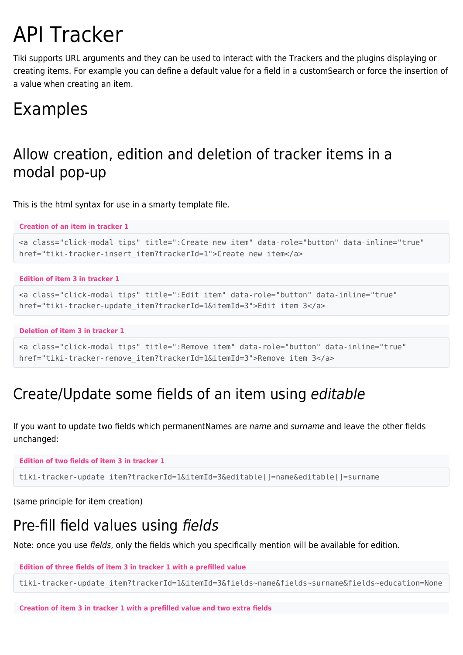# API Tracker

Tiki supports URL arguments and they can be used to interact with the Trackers and the plugins displaying or creating items. For example you can define a default value for a field in a customSearch or force the insertion of a value when creating an item.

# Examples

## Allow creation, edition and deletion of tracker items in a modal pop-up

This is the html syntax for use in a smarty template file.

**Creation of an item in tracker 1**

```
<a class="click-modal tips" title=":Create new item" data-role="button" data-inline="true"
href="tiki-tracker-insert_item?trackerId=1">Create new item</a>
```
#### **Edition of item 3 in tracker 1**

```
<a class="click-modal tips" title=":Edit item" data-role="button" data-inline="true"
href="tiki-tracker-update_item?trackerId=1&itemId=3">Edit item 3</a>
```
#### **Deletion of item 3 in tracker 1**

```
<a class="click-modal tips" title=":Remove item" data-role="button" data-inline="true"
href="tiki-tracker-remove_item?trackerId=1&itemId=3">Remove item 3</a>
```
# Create/Update some fields of an item using editable

If you want to update two fields which permanentNames are name and surname and leave the other fields unchanged:

**Edition of two fields of item 3 in tracker 1**

```
tiki-tracker-update_item?trackerId=1&itemId=3&editable[]=name&editable[]=surname
```
(same principle for item creation)

# Pre-fill field values using fields

Note: once you use fields, only the fields which you specifically mention will be available for edition.

**Edition of three fields of item 3 in tracker 1 with a prefilled value**

tiki-tracker-update\_item?trackerId=1&itemId=3&fields~name&fields~surname&fields~education=None

**Creation of item 3 in tracker 1 with a prefilled value and two extra fields**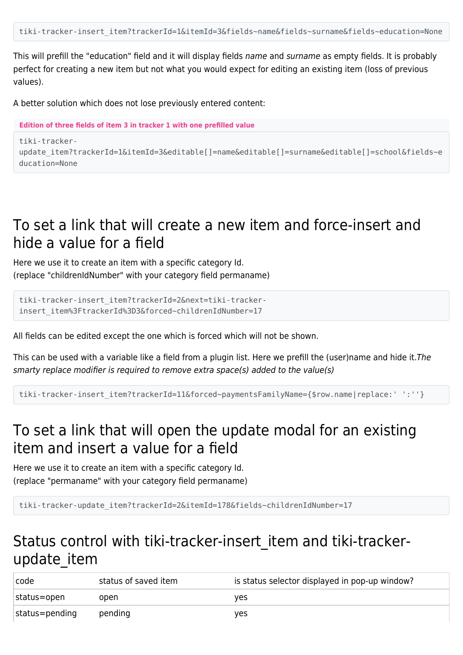This will prefill the "education" field and it will display fields name and surname as empty fields. It is probably perfect for creating a new item but not what you would expect for editing an existing item (loss of previous values).

A better solution which does not lose previously entered content:

```
Edition of three fields of item 3 in tracker 1 with one prefilled value
```

```
tiki-tracker-
update item?trackerId=1&itemId=3&editable[]=name&editable[]=surname&editable[]=school&fields~e
ducation=None
```
### To set a link that will create a new item and force-insert and hide a value for a field

Here we use it to create an item with a specific category Id. (replace "childrenIdNumber" with your category field permaname)

```
tiki-tracker-insert_item?trackerId=2&next=tiki-tracker-
insert_item%3FtrackerId%3D3&forced~childrenIdNumber=17
```
All fields can be edited except the one which is forced which will not be shown.

This can be used with a variable like a field from a plugin list. Here we prefill the (user)name and hide it.The smarty replace modifier is required to remove extra space(s) added to the value(s)

```
tiki-tracker-insert_item?trackerId=11&forced~paymentsFamilyName={$row.name|replace:' ':''}
```
### To set a link that will open the update modal for an existing item and insert a value for a field

Here we use it to create an item with a specific category Id. (replace "permaname" with your category field permaname)

tiki-tracker-update\_item?trackerId=2&itemId=178&fields~childrenIdNumber=17

### Status control with tiki-tracker-insert item and tiki-trackerupdate\_item

| code           | status of saved item | is status selector displayed in pop-up window? |
|----------------|----------------------|------------------------------------------------|
| status=open    | open                 | ves                                            |
| status=pending | pending              | yes                                            |